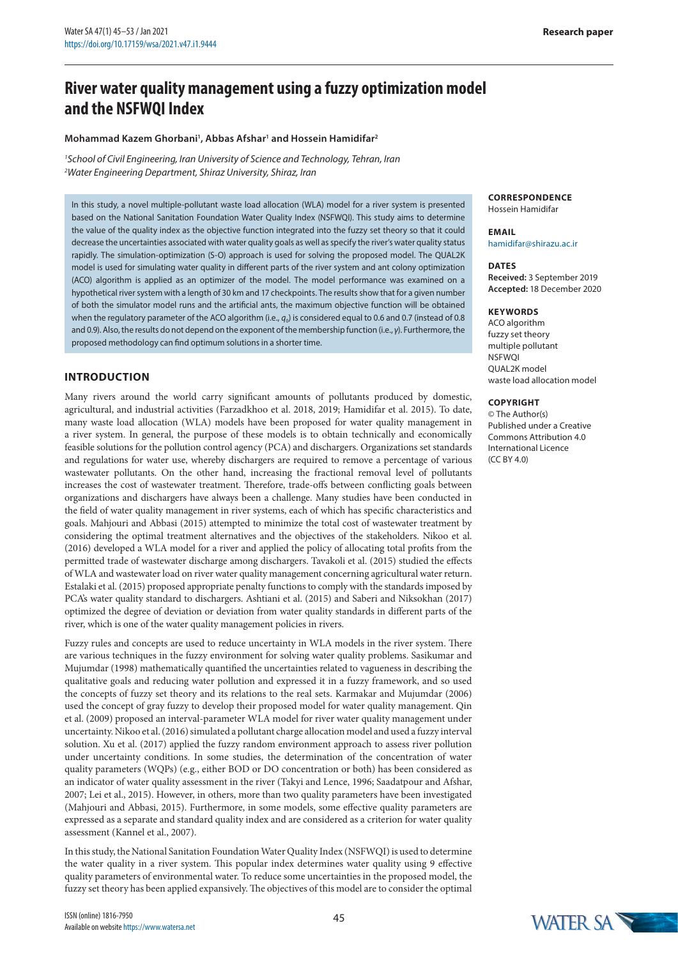# **River water quality management using a fuzzy optimization model and the NSFWQI Index**

#### **Mohammad Kazem Ghorbani1 , Abbas Afshar1 and Hossein Hamidifar2**

*1 School of Civil Engineering, Iran University of Science and Technology, Tehran, Iran 2 Water Engineering Department, Shiraz University, Shiraz, Iran*

In this study, a novel multiple-pollutant waste load allocation (WLA) model for a river system is presented based on the National Sanitation Foundation Water Quality Index (NSFWQI). This study aims to determine the value of the quality index as the objective function integrated into the fuzzy set theory so that it could decrease the uncertainties associated with water quality goals as well as specify the river's water quality status rapidly. The simulation-optimization (S-O) approach is used for solving the proposed model. The QUAL2K model is used for simulating water quality in different parts of the river system and ant colony optimization (ACO) algorithm is applied as an optimizer of the model. The model performance was examined on a hypothetical river system with a length of 30 km and 17 checkpoints. The results show that for a given number of both the simulator model runs and the artificial ants, the maximum objective function will be obtained when the regulatory parameter of the ACO algorithm (i.e.,  $q_0$ ) is considered equal to 0.6 and 0.7 (instead of 0.8 and 0.9). Also, the results do not depend on the exponent of the membership function (i.e., *γ*). Furthermore, the proposed methodology can find optimum solutions in a shorter time.

# **INTRODUCTION**

Many rivers around the world carry significant amounts of pollutants produced by domestic, agricultural, and industrial activities (Farzadkhoo et al. 2018, 2019; Hamidifar et al. 2015). To date, many waste load allocation (WLA) models have been proposed for water quality management in a river system. In general, the purpose of these models is to obtain technically and economically feasible solutions for the pollution control agency (PCA) and dischargers. Organizations set standards and regulations for water use, whereby dischargers are required to remove a percentage of various wastewater pollutants. On the other hand, increasing the fractional removal level of pollutants increases the cost of wastewater treatment. Therefore, trade-offs between conflicting goals between organizations and dischargers have always been a challenge. Many studies have been conducted in the field of water quality management in river systems, each of which has specific characteristics and goals. Mahjouri and Abbasi (2015) attempted to minimize the total cost of wastewater treatment by considering the optimal treatment alternatives and the objectives of the stakeholders. Nikoo et al. (2016) developed a WLA model for a river and applied the policy of allocating total profits from the permitted trade of wastewater discharge among dischargers. Tavakoli et al. (2015) studied the effects of WLA and wastewater load on river water quality management concerning agricultural water return. Estalaki et al. (2015) proposed appropriate penalty functions to comply with the standards imposed by PCA's water quality standard to dischargers. Ashtiani et al. (2015) and Saberi and Niksokhan (2017) optimized the degree of deviation or deviation from water quality standards in different parts of the river, which is one of the water quality management policies in rivers.

Fuzzy rules and concepts are used to reduce uncertainty in WLA models in the river system. There are various techniques in the fuzzy environment for solving water quality problems. Sasikumar and Mujumdar (1998) mathematically quantified the uncertainties related to vagueness in describing the qualitative goals and reducing water pollution and expressed it in a fuzzy framework, and so used the concepts of fuzzy set theory and its relations to the real sets. Karmakar and Mujumdar (2006) used the concept of gray fuzzy to develop their proposed model for water quality management. Qin et al. (2009) proposed an interval-parameter WLA model for river water quality management under uncertainty. Nikoo et al. (2016) simulated a pollutant charge allocation model and used a fuzzy interval solution. Xu et al. (2017) applied the fuzzy random environment approach to assess river pollution under uncertainty conditions. In some studies, the determination of the concentration of water quality parameters (WQPs) (e.g., either BOD or DO concentration or both) has been considered as an indicator of water quality assessment in the river (Takyi and Lence, 1996; Saadatpour and Afshar, 2007; Lei et al., 2015). However, in others, more than two quality parameters have been investigated (Mahjouri and Abbasi, 2015). Furthermore, in some models, some effective quality parameters are expressed as a separate and standard quality index and are considered as a criterion for water quality assessment (Kannel et al., 2007).

In this study, the National Sanitation Foundation Water Quality Index (NSFWQI) is used to determine the water quality in a river system. This popular index determines water quality using 9 effective quality parameters of environmental water. To reduce some uncertainties in the proposed model, the fuzzy set theory has been applied expansively. The objectives of this model are to consider the optimal

#### **CORRESPONDENCE** Hossein Hamidifar

#### **EMAIL** hamidifar@shirazu.ac.ir

#### **DATES**

**Received:** 3 September 2019 **Accepted:** 18 December 2020

#### **KEYWORDS**

ACO algorithm fuzzy set theory multiple pollutant **NSFWOL** QUAL2K model waste load allocation model

## **COPYRIGHT**

© The Author(s) Published under a Creative Commons Attribution 4.0 International Licence (CC BY 4.0)

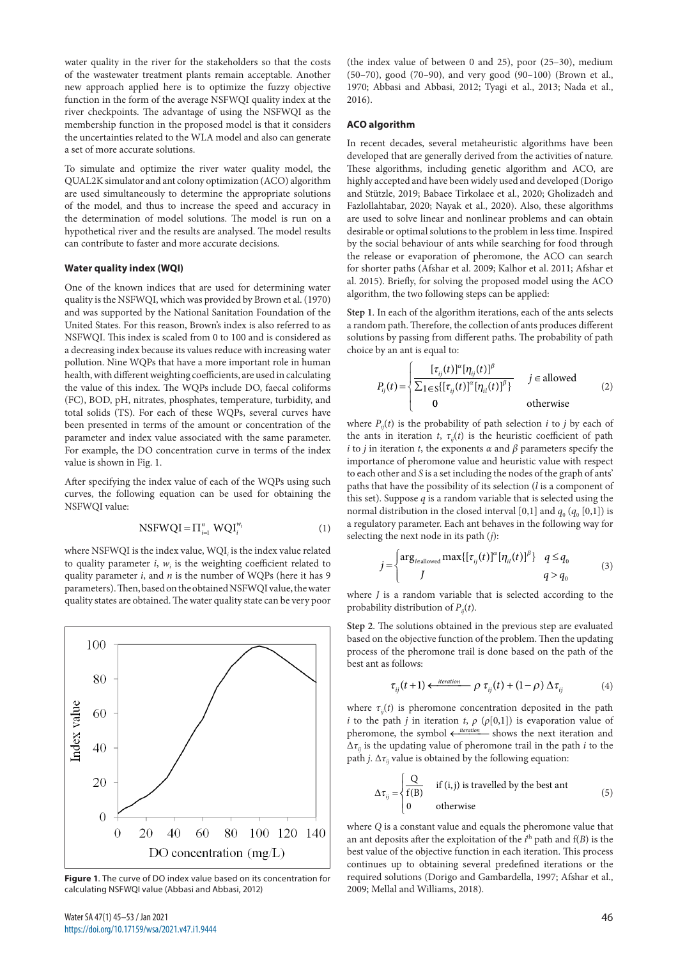water quality in the river for the stakeholders so that the costs of the wastewater treatment plants remain acceptable. Another new approach applied here is to optimize the fuzzy objective function in the form of the average NSFWQI quality index at the river checkpoints. The advantage of using the NSFWQI as the membership function in the proposed model is that it considers the uncertainties related to the WLA model and also can generate a set of more accurate solutions.

To simulate and optimize the river water quality model, the QUAL2K simulator and ant colony optimization (ACO) algorithm are used simultaneously to determine the appropriate solutions of the model, and thus to increase the speed and accuracy in the determination of model solutions. The model is run on a hypothetical river and the results are analysed. The model results can contribute to faster and more accurate decisions.

### **Water quality index (WQI)**

One of the known indices that are used for determining water quality is the NSFWQI, which was provided by Brown et al. (1970) and was supported by the National Sanitation Foundation of the United States. For this reason, Brown's index is also referred to as NSFWQI. This index is scaled from 0 to 100 and is considered as a decreasing index because its values reduce with increasing water pollution. Nine WQPs that have a more important role in human health, with different weighting coefficients, are used in calculating the value of this index. The WQPs include DO, faecal coliforms (FC), BOD, pH, nitrates, phosphates, temperature, turbidity, and total solids (TS). For each of these WQPs, several curves have been presented in terms of the amount or concentration of the parameter and index value associated with the same parameter. For example, the DO concentration curve in terms of the index value is shown in Fig. 1.

After specifying the index value of each of the WQPs using such curves, the following equation can be used for obtaining the NSFWQI value:

$$
NSFWQI = \Pi_{i=1}^{n} \ WQI_{i}^{w_{i}} \tag{1}
$$

where NSFWQI is the index value, WQI*<sup>i</sup>* is the index value related to quality parameter  $i$ ,  $w_i$  is the weighting coefficient related to quality parameter *i*, and *n* is the number of WQPs (here it has 9 parameters). Then, based on the obtained NSFWQI value, the water quality states are obtained. The water quality state can be very poor



**Figure 1**. The curve of DO index value based on its concentration for calculating NSFWQI value (Abbasi and Abbasi, 2012)

(the index value of between 0 and 25), poor (25–30), medium (50–70), good (70–90), and very good (90–100) (Brown et al., 1970; Abbasi and Abbasi, 2012; Tyagi et al., 2013; Nada et al., 2016).

#### **ACO algorithm**

In recent decades, several metaheuristic algorithms have been developed that are generally derived from the activities of nature. These algorithms, including genetic algorithm and ACO, are highly accepted and have been widely used and developed (Dorigo and Stützle, 2019; Babaee Tirkolaee et al., 2020; Gholizadeh and Fazlollahtabar, 2020; Nayak et al., 2020). Also, these algorithms are used to solve linear and nonlinear problems and can obtain desirable or optimal solutions to the problem in less time. Inspired by the social behaviour of ants while searching for food through the release or evaporation of pheromone, the ACO can search for shorter paths (Afshar et al. 2009; Kalhor et al. 2011; Afshar et al. 2015). Briefly, for solving the proposed model using the ACO algorithm, the two following steps can be applied:

**Step 1**. In each of the algorithm iterations, each of the ants selects a random path. Therefore, the collection of ants produces different solutions by passing from different paths. The probability of path choice by an ant is equal to:

$$
P_{ij}(t) = \begin{cases} \frac{[\tau_{ij}(t)]^{\alpha}[\eta_{ij}(t)]^{\beta}}{\sum_{1 \in S} {[\tau_{ij}(t)]^{\alpha}[\eta_{il}(t)]^{\beta}}} & j \in allowed\\ 0 & \text{otherwise} \end{cases}
$$
(2)

where  $P_{ii}(t)$  is the probability of path selection *i* to *j* by each of the ants in iteration *t*,  $\tau_{ii}(t)$  is the heuristic coefficient of path *i* to *j* in iteration *t*, the exponents *α* and *β* parameters specify the importance of pheromone value and heuristic value with respect to each other and *S* is a set including the nodes of the graph of ants' paths that have the possibility of its selection (*l* is a component of this set). Suppose *q* is a random variable that is selected using the normal distribution in the closed interval [0,1] and  $q_0$  ( $q_0$  [0,1]) is a regulatory parameter. Each ant behaves in the following way for selecting the next node in its path (*j*):

$$
j = \begin{cases} \arg_{l \in \text{allowed}} \max\{[\tau_{ij}(t)]^{\alpha}[\eta_{il}(t)]^{\beta}\} & q \le q_0 \\ J & q > q_0 \end{cases}
$$
(3)

where *J* is a random variable that is selected according to the probability distribution of  $P_{ii}(t)$ .

**Step 2**. The solutions obtained in the previous step are evaluated based on the objective function of the problem. Then the updating process of the pheromone trail is done based on the path of the best ant as follows:

$$
\tau_{ij}(t+1) \leftarrow \frac{\text{iteration}}{\rho} \tau_{ij}(t) + (1-\rho) \Delta \tau_{ij} \tag{4}
$$

where  $\tau_{ij}(t)$  is pheromone concentration deposited in the path *i* to the path *j* in iteration *t*,  $\rho$  ( $\rho$ [0,1]) is evaporation value of pheromone, the symbol  $\leftarrow$  *iteration* shows the next iteration and  $\Delta\tau_{ii}$  is the updating value of pheromone trail in the path *i* to the path *j*.  $\Delta \tau_{ii}$  value is obtained by the following equation:

$$
\Delta \tau_{ij} = \begin{cases}\n\frac{Q}{f(B)} & \text{if (i, j) is travelled by the best ant} \\
0 & \text{otherwise}\n\end{cases}
$$
\n(5)

where *Q* is a constant value and equals the pheromone value that an ant deposits after the exploitation of the  $i<sup>th</sup>$  path and  $f(B)$  is the best value of the objective function in each iteration. This process continues up to obtaining several predefined iterations or the required solutions (Dorigo and Gambardella, 1997; Afshar et al., 2009; Mellal and Williams, 2018).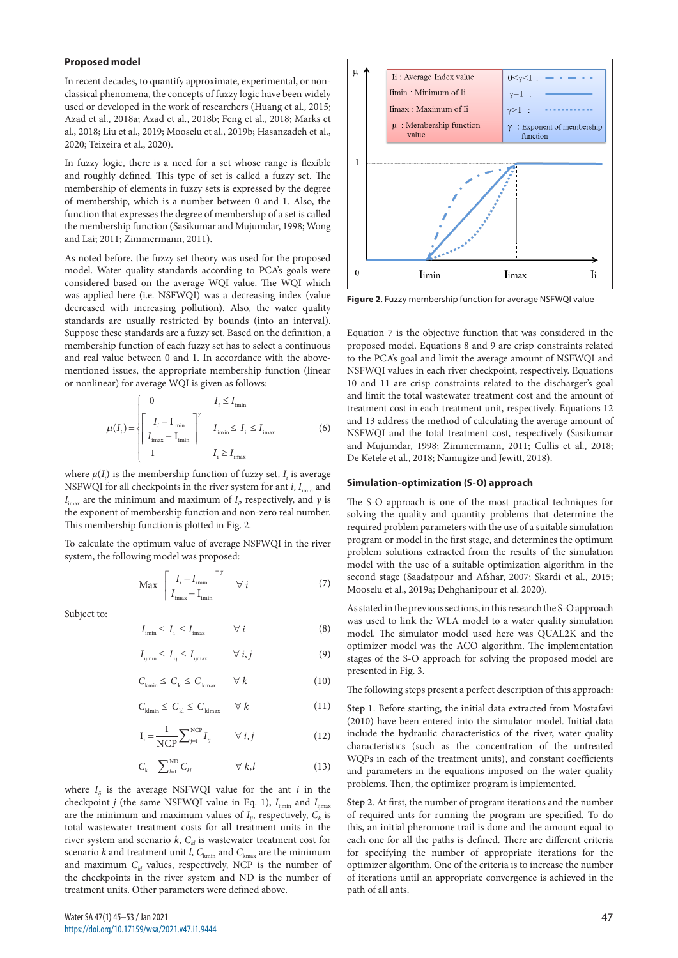#### **Proposed model**

In recent decades, to quantify approximate, experimental, or nonclassical phenomena, the concepts of fuzzy logic have been widely used or developed in the work of researchers (Huang et al., 2015; Azad et al., 2018a; Azad et al., 2018b; Feng et al., 2018; Marks et al., 2018; Liu et al., 2019; Mooselu et al., 2019b; Hasanzadeh et al., 2020; Teixeira et al., 2020).

In fuzzy logic, there is a need for a set whose range is flexible and roughly defined. This type of set is called a fuzzy set. The membership of elements in fuzzy sets is expressed by the degree of membership, which is a number between 0 and 1. Also, the function that expresses the degree of membership of a set is called the membership function (Sasikumar and Mujumdar, 1998; Wong and Lai; 2011; Zimmermann, 2011).

As noted before, the fuzzy set theory was used for the proposed model. Water quality standards according to PCA's goals were considered based on the average WQI value. The WQI which was applied here (i.e. NSFWQI) was a decreasing index (value decreased with increasing pollution). Also, the water quality standards are usually restricted by bounds (into an interval). Suppose these standards are a fuzzy set. Based on the definition, a membership function of each fuzzy set has to select a continuous and real value between 0 and 1. In accordance with the abovementioned issues, the appropriate membership function (linear or nonlinear) for average WQI is given as follows:

$$
\mu(I_i) = \begin{cases}\n0 & I_i \le I_{\text{imin}} \\
\frac{I_i - I_{\text{imin}}}{I_{\text{imax}} - I_{\text{imin}}}\n\end{cases} \qquad\nI_{\text{imin}} \le I_i \le I_{\text{imax}} \qquad (6)
$$

where  $\mu(I_i)$  is the membership function of fuzzy set,  $I_i$  is average NSFWQI for all checkpoints in the river system for ant  $i$ ,  $I_{\text{imin}}$  and *I*<sub>imax</sub> are the minimum and maximum of *I<sub>i</sub>*, respectively, and *γ* is the exponent of membership function and non-zero real number. This membership function is plotted in Fig. 2.

To calculate the optimum value of average NSFWQI in the river system, the following model was proposed:

$$
\text{Max} \left[ \frac{I_i - I_{\text{imin}}}{I_{\text{imax}} - I_{\text{imin}}} \right]^\gamma \quad \forall \ i \tag{7}
$$

Subject to:

$$
I_{\min} \le I_{i} \le I_{\max} \qquad \forall i \tag{8}
$$

$$
I_{ij\text{min}} \le I_{ij} \le I_{ij\text{max}} \qquad \forall i, j \tag{9}
$$

$$
C_{k_{\min}} \leq C_k \leq C_{k_{\max}} \qquad \forall k \tag{10}
$$

$$
C_{\text{klmin}} \le C_{\text{k}} \le C_{\text{klmax}} \qquad \forall k \tag{11}
$$

$$
\mathbf{I}_{i} = \frac{1}{NCP} \sum_{j=1}^{NCP} I_{ij} \qquad \forall i, j \tag{12}
$$

$$
C_{\mathbf{k}} = \sum_{l=1}^{\text{ND}} C_{kl} \qquad \forall k, l \tag{13}
$$

where  $I_{ii}$  is the average NSFWQI value for the ant  $i$  in the checkpoint *j* (the same NSFWQI value in Eq. 1),  $I_{\text{imin}}$  and  $I_{\text{limax}}$ are the minimum and maximum values of  $I_{ij}$ , respectively,  $C_k$  is total wastewater treatment costs for all treatment units in the river system and scenario  $k$ ,  $C_{kl}$  is wastewater treatment cost for scenario *k* and treatment unit *l*,  $C_{kmin}$  and  $C_{kmax}$  are the minimum and maximum  $C_{kl}$  values, respectively, NCP is the number of the checkpoints in the river system and ND is the number of treatment units. Other parameters were defined above.



**Figure 2**. Fuzzy membership function for average NSFWQI value

Equation 7 is the objective function that was considered in the proposed model. Equations 8 and 9 are crisp constraints related to the PCA's goal and limit the average amount of NSFWQI and NSFWQI values in each river checkpoint, respectively. Equations 10 and 11 are crisp constraints related to the discharger's goal and limit the total wastewater treatment cost and the amount of treatment cost in each treatment unit, respectively. Equations 12 and 13 address the method of calculating the average amount of NSFWQI and the total treatment cost, respectively (Sasikumar and Mujumdar, 1998; Zimmermann, 2011; Cullis et al., 2018; De Ketele et al., 2018; Namugize and Jewitt, 2018).

### **Simulation-optimization (S-O) approach**

The S-O approach is one of the most practical techniques for solving the quality and quantity problems that determine the required problem parameters with the use of a suitable simulation program or model in the first stage, and determines the optimum problem solutions extracted from the results of the simulation model with the use of a suitable optimization algorithm in the second stage (Saadatpour and Afshar, 2007; Skardi et al., 2015; Mooselu et al., 2019a; Dehghanipour et al. 2020).

As stated in the previous sections, in this research the S-O approach was used to link the WLA model to a water quality simulation model. The simulator model used here was QUAL2K and the optimizer model was the ACO algorithm. The implementation stages of the S-O approach for solving the proposed model are presented in Fig. 3.

The following steps present a perfect description of this approach:

**Step 1**. Before starting, the initial data extracted from Mostafavi (2010) have been entered into the simulator model. Initial data include the hydraulic characteristics of the river, water quality characteristics (such as the concentration of the untreated WQPs in each of the treatment units), and constant coefficients and parameters in the equations imposed on the water quality problems. Then, the optimizer program is implemented.

**Step 2**. At first, the number of program iterations and the number of required ants for running the program are specified. To do this, an initial pheromone trail is done and the amount equal to each one for all the paths is defined. There are different criteria for specifying the number of appropriate iterations for the optimizer algorithm. One of the criteria is to increase the number of iterations until an appropriate convergence is achieved in the path of all ants.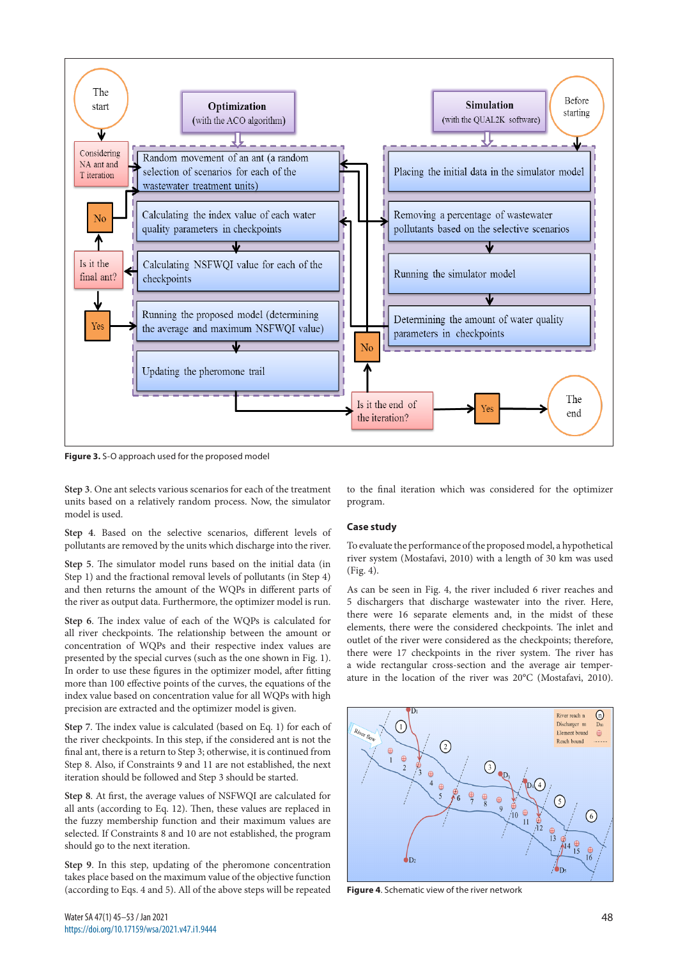

**Figure 3.** S-O approach used for the proposed model

**Step 3**. One ant selects various scenarios for each of the treatment units based on a relatively random process. Now, the simulator model is used.

**Step 4**. Based on the selective scenarios, different levels of pollutants are removed by the units which discharge into the river.

**Step 5**. The simulator model runs based on the initial data (in Step 1) and the fractional removal levels of pollutants (in Step 4) and then returns the amount of the WQPs in different parts of the river as output data. Furthermore, the optimizer model is run.

**Step 6**. The index value of each of the WQPs is calculated for all river checkpoints. The relationship between the amount or concentration of WQPs and their respective index values are presented by the special curves (such as the one shown in Fig. 1). In order to use these figures in the optimizer model, after fitting more than 100 effective points of the curves, the equations of the index value based on concentration value for all WQPs with high precision are extracted and the optimizer model is given.

**Step 7**. The index value is calculated (based on Eq. 1) for each of the river checkpoints. In this step, if the considered ant is not the final ant, there is a return to Step 3; otherwise, it is continued from Step 8. Also, if Constraints 9 and 11 are not established, the next iteration should be followed and Step 3 should be started.

**Step 8**. At first, the average values of NSFWQI are calculated for all ants (according to Eq. 12). Then, these values are replaced in the fuzzy membership function and their maximum values are selected. If Constraints 8 and 10 are not established, the program should go to the next iteration.

**Step 9**. In this step, updating of the pheromone concentration takes place based on the maximum value of the objective function (according to Eqs. 4 and 5). All of the above steps will be repeated

to the final iteration which was considered for the optimizer program.

## **Case study**

To evaluate the performance of the proposed model, a hypothetical river system (Mostafavi, 2010) with a length of 30 km was used (Fig. 4).

As can be seen in Fig. 4, the river included 6 river reaches and 5 dischargers that discharge wastewater into the river. Here, there were 16 separate elements and, in the midst of these elements, there were the considered checkpoints. The inlet and outlet of the river were considered as the checkpoints; therefore, there were 17 checkpoints in the river system. The river has a wide rectangular cross-section and the average air temperature in the location of the river was 20°C (Mostafavi, 2010).



**Figure 4**. Schematic view of the river network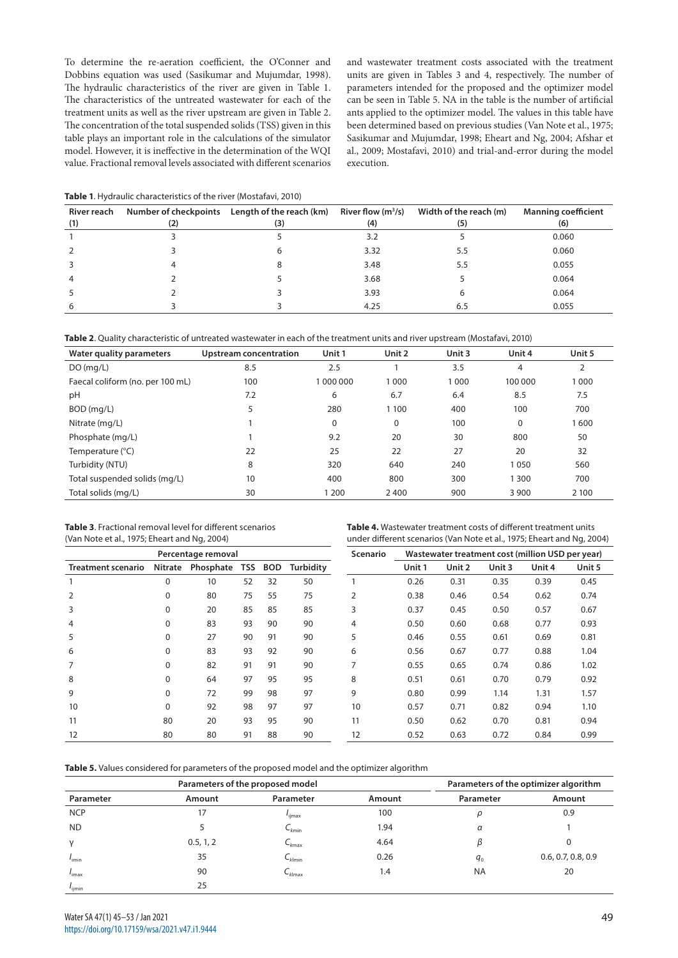To determine the re-aeration coefficient, the O'Conner and Dobbins equation was used (Sasikumar and Mujumdar, 1998). The hydraulic characteristics of the river are given in Table 1. The characteristics of the untreated wastewater for each of the treatment units as well as the river upstream are given in Table 2. The concentration of the total suspended solids (TSS) given in this table plays an important role in the calculations of the simulator model. However, it is ineffective in the determination of the WQI value. Fractional removal levels associated with different scenarios and wastewater treatment costs associated with the treatment units are given in Tables 3 and 4, respectively. The number of parameters intended for the proposed and the optimizer model can be seen in Table 5. NA in the table is the number of artificial ants applied to the optimizer model. The values in this table have been determined based on previous studies (Van Note et al., 1975; Sasikumar and Mujumdar, 1998; Eheart and Ng, 2004; Afshar et al., 2009; Mostafavi, 2010) and trial-and-error during the model execution.

|  | Table 1. Hydraulic characteristics of the river (Mostafavi, 2010) |  |
|--|-------------------------------------------------------------------|--|
|--|-------------------------------------------------------------------|--|

| River reach<br>(1) | (2) | Number of checkpoints Length of the reach (km)<br>(3) | River flow $(m^3/s)$<br>(4) | Width of the reach (m)<br>(5) | <b>Manning coefficient</b><br>(6) |
|--------------------|-----|-------------------------------------------------------|-----------------------------|-------------------------------|-----------------------------------|
|                    |     |                                                       | 3.2                         |                               | 0.060                             |
|                    |     |                                                       | 3.32                        | 5.5                           | 0.060                             |
|                    |     |                                                       | 3.48                        | 5.5                           | 0.055                             |
|                    |     |                                                       | 3.68                        |                               | 0.064                             |
|                    |     |                                                       | 3.93                        |                               | 0.064                             |
| 6                  |     |                                                       | 4.25                        | 6.5                           | 0.055                             |

|  |  | Table 2. Quality characteristic of untreated wastewater in each of the treatment units and river upstream (Mostafavi, 2010) |  |  |  |
|--|--|-----------------------------------------------------------------------------------------------------------------------------|--|--|--|
|--|--|-----------------------------------------------------------------------------------------------------------------------------|--|--|--|

| Water quality parameters         | Upstream concentration | Unit 1      | Unit 2  | Unit 3 | Unit 4  | Unit 5         |
|----------------------------------|------------------------|-------------|---------|--------|---------|----------------|
| DO(mq/L)                         | 8.5                    | 2.5         |         | 3.5    | 4       | $\overline{2}$ |
| Faecal coliform (no. per 100 mL) | 100                    | 000 000 0   | 1 0 0 0 | 1000   | 100 000 | 1000           |
| pH                               | 7.2                    | 6           | 6.7     | 6.4    | 8.5     | 7.5            |
| BOD (mg/L)                       | 5                      | 280         | 1 100   | 400    | 100     | 700            |
| Nitrate (mg/L)                   |                        | $\mathbf 0$ | 0       | 100    | 0       | 1600           |
| Phosphate (mg/L)                 |                        | 9.2         | 20      | 30     | 800     | 50             |
| Temperature (°C)                 | 22                     | 25          | 22      | 27     | 20      | 32             |
| Turbidity (NTU)                  | 8                      | 320         | 640     | 240    | 1050    | 560            |
| Total suspended solids (mg/L)    | 10                     | 400         | 800     | 300    | 300     | 700            |
| Total solids (mg/L)              | 30                     | 1 200       | 2400    | 900    | 3 9 0 0 | 2 1 0 0        |

**Table 3**. Fractional removal level for different scenarios (Van Note et al., 1975; Eheart and Ng, 2004)

**Table 4.** Wastewater treatment costs of different treatment units under different scenarios (Van Note et al., 1975; Eheart and Ng, 2004)

|                           |                | Percentage removal |            |            |           | <b>Scenario</b> | Wastewater treatment cost (million USD per year) |        |        |        |        |
|---------------------------|----------------|--------------------|------------|------------|-----------|-----------------|--------------------------------------------------|--------|--------|--------|--------|
| <b>Treatment scenario</b> | <b>Nitrate</b> | Phosphate          | <b>TSS</b> | <b>BOD</b> | Turbidity |                 | Unit 1                                           | Unit 2 | Unit 3 | Unit 4 | Unit 5 |
|                           | 0              | 10                 | 52         | 32         | 50        |                 | 0.26                                             | 0.31   | 0.35   | 0.39   | 0.45   |
|                           | 0              | 80                 | 75         | 55         | 75        | 2               | 0.38                                             | 0.46   | 0.54   | 0.62   | 0.74   |
| 3                         | 0              | 20                 | 85         | 85         | 85        | 3               | 0.37                                             | 0.45   | 0.50   | 0.57   | 0.67   |
| 4                         | 0              | 83                 | 93         | 90         | 90        | 4               | 0.50                                             | 0.60   | 0.68   | 0.77   | 0.93   |
| 5                         | 0              | 27                 | 90         | 91         | 90        | 5               | 0.46                                             | 0.55   | 0.61   | 0.69   | 0.81   |
| 6                         | 0              | 83                 | 93         | 92         | 90        | 6               | 0.56                                             | 0.67   | 0.77   | 0.88   | 1.04   |
|                           | 0              | 82                 | 91         | 91         | 90        | 7               | 0.55                                             | 0.65   | 0.74   | 0.86   | 1.02   |
| 8                         | 0              | 64                 | 97         | 95         | 95        | 8               | 0.51                                             | 0.61   | 0.70   | 0.79   | 0.92   |
| 9                         | 0              | 72                 | 99         | 98         | 97        | 9               | 0.80                                             | 0.99   | 1.14   | 1.31   | 1.57   |
| 10                        | 0              | 92                 | 98         | 97         | 97        | 10              | 0.57                                             | 0.71   | 0.82   | 0.94   | 1.10   |
| 11                        | 80             | 20                 | 93         | 95         | 90        | 11              | 0.50                                             | 0.62   | 0.70   | 0.81   | 0.94   |
| 12                        | 80             | 80                 | 91         | 88         | 90        | 12              | 0.52                                             | 0.63   | 0.72   | 0.84   | 0.99   |

**Table 5.** Values considered for parameters of the proposed model and the optimizer algorithm

|                    |           | Parameters of the proposed model |        | Parameters of the optimizer algorithm |                    |  |  |  |
|--------------------|-----------|----------------------------------|--------|---------------------------------------|--------------------|--|--|--|
| Parameter          | Amount    | Parameter                        | Amount | Parameter                             | Amount             |  |  |  |
| <b>NCP</b>         | 17        | 'ijmax                           | 100    | C                                     | 0.9                |  |  |  |
| <b>ND</b>          |           | $\mathsf{C}_{kmin}$              | 1.94   | $\alpha$                              |                    |  |  |  |
| $\vee$             | 0.5, 1, 2 | $C_{kmax}$                       | 4.64   |                                       |                    |  |  |  |
| $I_{\text{imin}}$  | 35        | $C_{k   min}$                    | 0.26   | $q_{0}$                               | 0.6, 0.7, 0.8, 0.9 |  |  |  |
| $I_{\text{imax}}$  | 90        | $C_{k \mid max}$                 | 1.4    | <b>NA</b>                             | 20                 |  |  |  |
| l <sub>ijmin</sub> | 25        |                                  |        |                                       |                    |  |  |  |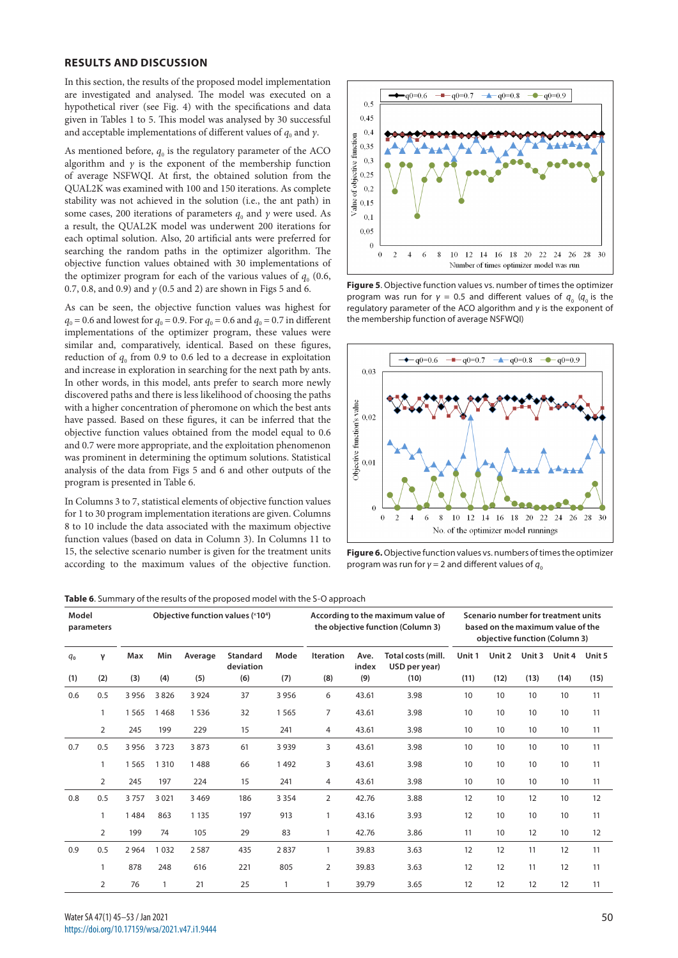## **RESULTS AND DISCUSSION**

In this section, the results of the proposed model implementation are investigated and analysed. The model was executed on a hypothetical river (see Fig. 4) with the specifications and data given in Tables 1 to 5. This model was analysed by 30 successful and acceptable implementations of different values of  $q_0$  and  $\gamma$ .

As mentioned before,  $q_0$  is the regulatory parameter of the ACO algorithm and  $\gamma$  is the exponent of the membership function of average NSFWQI. At first, the obtained solution from the QUAL2K was examined with 100 and 150 iterations. As complete stability was not achieved in the solution (i.e., the ant path) in some cases, 200 iterations of parameters  $q_0$  and  $\gamma$  were used. As a result, the QUAL2K model was underwent 200 iterations for each optimal solution. Also, 20 artificial ants were preferred for searching the random paths in the optimizer algorithm. The objective function values obtained with 30 implementations of the optimizer program for each of the various values of  $q_0$  (0.6, 0.7, 0.8, and 0.9) and *γ* (0.5 and 2) are shown in Figs 5 and 6.

As can be seen, the objective function values was highest for  $q_0 = 0.6$  and lowest for  $q_0 = 0.9$ . For  $q_0 = 0.6$  and  $q_0 = 0.7$  in different implementations of the optimizer program, these values were similar and, comparatively, identical. Based on these figures, reduction of  $q_0$  from 0.9 to 0.6 led to a decrease in exploitation and increase in exploration in searching for the next path by ants. In other words, in this model, ants prefer to search more newly discovered paths and there is less likelihood of choosing the paths with a higher concentration of pheromone on which the best ants have passed. Based on these figures, it can be inferred that the objective function values obtained from the model equal to 0.6 and 0.7 were more appropriate, and the exploitation phenomenon was prominent in determining the optimum solutions. Statistical analysis of the data from Figs 5 and 6 and other outputs of the program is presented in Table 6.

In Columns 3 to 7, statistical elements of objective function values for 1 to 30 program implementation iterations are given. Columns 8 to 10 include the data associated with the maximum objective function values (based on data in Column 3). In Columns 11 to 15, the selective scenario number is given for the treatment units according to the maximum values of the objective function.



**Figure 5**. Objective function values vs. number of times the optimizer program was run for  $γ = 0.5$  and different values of  $q_0$  ( $q_0$  is the regulatory parameter of the ACO algorithm and *γ* is the exponent of the membership function of average NSFWQI)



**Figure 6.** Objective function values vs. numbers of times the optimizer program was run for  $γ = 2$  and different values of  $q_0$ 

|  |  |  | Table 6. Summary of the results of the proposed model with the S-O approach |
|--|--|--|-----------------------------------------------------------------------------|
|--|--|--|-----------------------------------------------------------------------------|

| Model<br>parameters |              | Objective function values (×104) |         |         |                              |         | According to the maximum value of<br>the objective function (Column 3) |               |                                     | Scenario number for treatment units<br>based on the maximum value of the<br>objective function (Column 3) |        |        |        |        |
|---------------------|--------------|----------------------------------|---------|---------|------------------------------|---------|------------------------------------------------------------------------|---------------|-------------------------------------|-----------------------------------------------------------------------------------------------------------|--------|--------|--------|--------|
| $q_{0}$             | γ            | Max                              | Min     | Average | <b>Standard</b><br>deviation | Mode    | <b>Iteration</b>                                                       | Ave.<br>index | Total costs (mill.<br>USD per year) | Unit 1                                                                                                    | Unit 2 | Unit 3 | Unit 4 | Unit 5 |
| (1)                 | (2)          | (3)                              | (4)     | (5)     | (6)                          | (7)     | (8)                                                                    | (9)           | (10)                                | (11)                                                                                                      | (12)   | (13)   | (14)   | (15)   |
| 0.6                 | 0.5          | 3 9 5 6                          | 3826    | 3 9 2 4 | 37                           | 3 9 5 6 | 6                                                                      | 43.61         | 3.98                                | 10                                                                                                        | 10     | 10     | 10     | 11     |
|                     | $\mathbf{1}$ | 1565                             | 1468    | 1536    | 32                           | 1565    | $\overline{7}$                                                         | 43.61         | 3.98                                | 10                                                                                                        | 10     | 10     | 10     | 11     |
|                     | 2            | 245                              | 199     | 229     | 15                           | 241     | 4                                                                      | 43.61         | 3.98                                | 10                                                                                                        | 10     | 10     | 10     | 11     |
| 0.7                 | 0.5          | 3 9 5 6                          | 3723    | 3873    | 61                           | 3 9 3 9 | 3                                                                      | 43.61         | 3.98                                | 10                                                                                                        | 10     | 10     | 10     | 11     |
|                     | 1            | 1565                             | 1 3 1 0 | 1488    | 66                           | 1492    | 3                                                                      | 43.61         | 3.98                                | 10                                                                                                        | 10     | 10     | 10     | 11     |
|                     | 2            | 245                              | 197     | 224     | 15                           | 241     | 4                                                                      | 43.61         | 3.98                                | 10                                                                                                        | 10     | 10     | 10     | 11     |
| 0.8                 | 0.5          | 3757                             | 3 0 21  | 3469    | 186                          | 3 3 5 4 | 2                                                                      | 42.76         | 3.88                                | 12                                                                                                        | 10     | 12     | 10     | 12     |
|                     |              | 1484                             | 863     | 1 1 3 5 | 197                          | 913     | 1                                                                      | 43.16         | 3.93                                | 12                                                                                                        | 10     | 10     | 10     | 11     |
|                     | 2            | 199                              | 74      | 105     | 29                           | 83      | 1                                                                      | 42.76         | 3.86                                | 11                                                                                                        | 10     | 12     | 10     | 12     |
| 0.9                 | 0.5          | 2964                             | 1032    | 2587    | 435                          | 2837    | 1                                                                      | 39.83         | 3.63                                | 12                                                                                                        | 12     | 11     | 12     | 11     |
|                     |              | 878                              | 248     | 616     | 221                          | 805     | 2                                                                      | 39.83         | 3.63                                | 12                                                                                                        | 12     | 11     | 12     | 11     |
|                     | 2            | 76                               |         | 21      | 25                           | 1       |                                                                        | 39.79         | 3.65                                | 12                                                                                                        | 12     | 12     | 12     | 11     |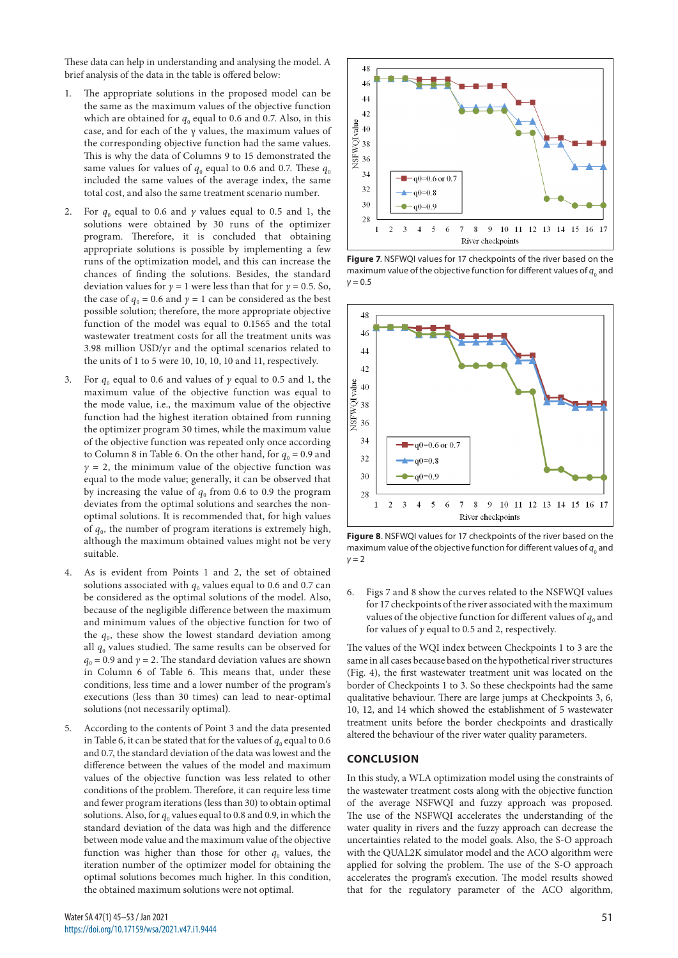These data can help in understanding and analysing the model. A brief analysis of the data in the table is offered below:

- 1. The appropriate solutions in the proposed model can be the same as the maximum values of the objective function which are obtained for  $q_0$  equal to 0.6 and 0.7. Also, in this case, and for each of the  $\gamma$  values, the maximum values of the corresponding objective function had the same values. This is why the data of Columns 9 to 15 demonstrated the same values for values of  $q_0$  equal to 0.6 and 0.7. These  $q_0$ included the same values of the average index, the same total cost, and also the same treatment scenario number.
- 2. For *q*0 equal to 0.6 and *γ* values equal to 0.5 and 1, the solutions were obtained by 30 runs of the optimizer program. Therefore, it is concluded that obtaining appropriate solutions is possible by implementing a few runs of the optimization model, and this can increase the chances of finding the solutions. Besides, the standard deviation values for  $\gamma = 1$  were less than that for  $\gamma = 0.5$ . So, the case of  $q_0 = 0.6$  and  $\gamma = 1$  can be considered as the best possible solution; therefore, the more appropriate objective function of the model was equal to 0.1565 and the total wastewater treatment costs for all the treatment units was 3.98 million USD/yr and the optimal scenarios related to the units of 1 to 5 were 10, 10, 10, 10 and 11, respectively.
- For  $q_0$  equal to 0.6 and values of  $\gamma$  equal to 0.5 and 1, the maximum value of the objective function was equal to the mode value, i.e., the maximum value of the objective function had the highest iteration obtained from running the optimizer program 30 times, while the maximum value of the objective function was repeated only once according to Column 8 in Table 6. On the other hand, for  $q_0 = 0.9$  and  $\gamma$  = 2, the minimum value of the objective function was equal to the mode value; generally, it can be observed that by increasing the value of  $q_0$  from 0.6 to 0.9 the program deviates from the optimal solutions and searches the nonoptimal solutions. It is recommended that, for high values of  $q_0$ , the number of program iterations is extremely high, although the maximum obtained values might not be very suitable.
- 4. As is evident from Points 1 and 2, the set of obtained solutions associated with  $q_0$  values equal to 0.6 and 0.7 can be considered as the optimal solutions of the model. Also, because of the negligible difference between the maximum and minimum values of the objective function for two of the  $q_0$ , these show the lowest standard deviation among all  $q_0$  values studied. The same results can be observed for  $q_0$  = 0.9 and  $\gamma$  = 2. The standard deviation values are shown in Column 6 of Table 6. This means that, under these conditions, less time and a lower number of the program's executions (less than 30 times) can lead to near-optimal solutions (not necessarily optimal).
- 5. According to the contents of Point 3 and the data presented in Table 6, it can be stated that for the values of  $q_0$  equal to 0.6 and 0.7, the standard deviation of the data was lowest and the difference between the values of the model and maximum values of the objective function was less related to other conditions of the problem. Therefore, it can require less time and fewer program iterations (less than 30) to obtain optimal solutions. Also, for  $q_0$  values equal to 0.8 and 0.9, in which the standard deviation of the data was high and the difference between mode value and the maximum value of the objective function was higher than those for other  $q_0$  values, the iteration number of the optimizer model for obtaining the optimal solutions becomes much higher. In this condition, the obtained maximum solutions were not optimal.



**Figure 7**. NSFWQI values for 17 checkpoints of the river based on the maximum value of the objective function for different values of  $q_{_0}$  and *γ* = 0.5



**Figure 8**. NSFWQI values for 17 checkpoints of the river based on the maximum value of the objective function for different values of  $q_{_0}$  and *γ* = 2

6. Figs 7 and 8 show the curves related to the NSFWQI values for 17 checkpoints of the river associated with the maximum values of the objective function for different values of  $q_0$  and for values of *γ* equal to 0.5 and 2, respectively.

The values of the WQI index between Checkpoints 1 to 3 are the same in all cases because based on the hypothetical river structures (Fig. 4), the first wastewater treatment unit was located on the border of Checkpoints 1 to 3. So these checkpoints had the same qualitative behaviour. There are large jumps at Checkpoints 3, 6, 10, 12, and 14 which showed the establishment of 5 wastewater treatment units before the border checkpoints and drastically altered the behaviour of the river water quality parameters.

# **CONCLUSION**

In this study, a WLA optimization model using the constraints of the wastewater treatment costs along with the objective function of the average NSFWQI and fuzzy approach was proposed. The use of the NSFWQI accelerates the understanding of the water quality in rivers and the fuzzy approach can decrease the uncertainties related to the model goals. Also, the S-O approach with the QUAL2K simulator model and the ACO algorithm were applied for solving the problem. The use of the S-O approach accelerates the program's execution. The model results showed that for the regulatory parameter of the ACO algorithm,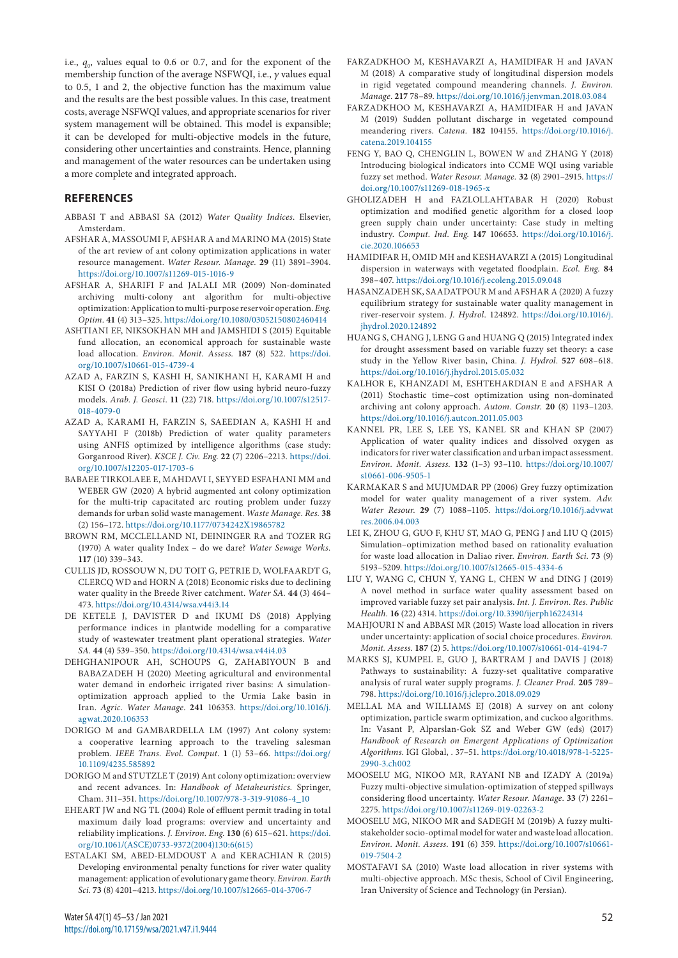i.e.,  $q_0$ , values equal to 0.6 or 0.7, and for the exponent of the membership function of the average NSFWQI, i.e., *γ* values equal to 0.5, 1 and 2, the objective function has the maximum value and the results are the best possible values. In this case, treatment costs, average NSFWQI values, and appropriate scenarios for river system management will be obtained. This model is expansible; it can be developed for multi-objective models in the future, considering other uncertainties and constraints. Hence, planning and management of the water resources can be undertaken using a more complete and integrated approach.

## **REFERENCES**

- ABBASI T and ABBASI SA (2012) *Water Quality Indices*. Elsevier, Amsterdam.
- AFSHAR A, MASSOUMI F, AFSHAR A and MARINO MA (2015) State of the art review of ant colony optimization applications in water resource management. *Water Resour. Manage*. **29** (11) 3891–3904. <https://doi.org/10.1007/s11269-015-1016-9>
- AFSHAR A, SHARIFI F and JALALI MR (2009) Non-dominated archiving multi-colony ant algorithm for multi-objective optimization: Application to multi-purpose reservoir operation. *Eng. Optim*. **41** (4) 313–325.<https://doi.org/10.1080/03052150802460414>
- ASHTIANI EF, NIKSOKHAN MH and JAMSHIDI S (2015) Equitable fund allocation, an economical approach for sustainable waste load allocation. *Environ. Monit. Assess.* **187** (8) 522. [https://doi.](https://doi.org/10.1007/s10661-015-4739-4) [org/10.1007/s10661-015-4739-4](https://doi.org/10.1007/s10661-015-4739-4)
- AZAD A, FARZIN S, KASHI H, SANIKHANI H, KARAMI H and KISI O (2018a) Prediction of river flow using hybrid neuro-fuzzy models. *Arab. J. Geosci*. **11** (22) 718. [https://doi.org/10.1007/s12517-](https://doi.org/10.1007/s12517-018-4079-0) [018-4079-0](https://doi.org/10.1007/s12517-018-4079-0)
- AZAD A, KARAMI H, FARZIN S, SAEEDIAN A, KASHI H and SAYYAHI F (2018b) Prediction of water quality parameters using ANFIS optimized by intelligence algorithms (case study: Gorganrood River). *KSCE J. Civ. Eng*. **22** (7) 2206–2213. [https://doi.](https://doi.org/10.1007/s12205-017-1703-6) [org/10.1007/s12205-017-1703-6](https://doi.org/10.1007/s12205-017-1703-6)
- BABAEE TIRKOLAEE E, MAHDAVI I, SEYYED ESFAHANI MM and WEBER GW (2020) A hybrid augmented ant colony optimization for the multi-trip capacitated arc routing problem under fuzzy demands for urban solid waste management. *Waste Manage. Res.* **38** (2) 156–172.<https://doi.org/10.1177/0734242X19865782>
- BROWN RM, MCCLELLAND NI, DEININGER RA and TOZER RG (1970) A water quality Index – do we dare? *Water Sewage Works.* **117** (10) 339–343.
- CULLIS JD, ROSSOUW N, DU TOIT G, PETRIE D, WOLFAARDT G, CLERCQ WD and HORN A (2018) Economic risks due to declining water quality in the Breede River catchment. *Water SA.* **44** (3) 464– 473. <https://doi.org/10.4314/wsa.v44i3.14>
- DE KETELE J, DAVISTER D and IKUMI DS (2018) Applying performance indices in plantwide modelling for a comparative study of wastewater treatment plant operational strategies. *Water SA.* **44** (4) 539–350.<https://doi.org/10.4314/wsa.v44i4.03>
- DEHGHANIPOUR AH, SCHOUPS G, ZAHABIYOUN B and BABAZADEH H (2020) Meeting agricultural and environmental water demand in endorheic irrigated river basins: A simulationoptimization approach applied to the Urmia Lake basin in Iran. *Agric. Water Manage*. **241** 106353. [https://doi.org/10.1016/j.](https://doi.org/10.1016/j.agwat.2020.106353) [agwat.2020.106353](https://doi.org/10.1016/j.agwat.2020.106353)
- DORIGO M and GAMBARDELLA LM (1997) Ant colony system: a cooperative learning approach to the traveling salesman problem. *IEEE Trans. Evol. Comput*. **1** (1) 53–66. [https://doi.org/](https://doi.org/10.1109/4235.585892) [10.1109/4235.585892](https://doi.org/10.1109/4235.585892)
- DORIGO M and STUTZLE T (2019) Ant colony optimization: overview and recent advances. In: *Handbook of Metaheuristics.* Springer, Cham. 311–351. [https://doi.org/10.1007/978-3-319-91086-4\\_10](https://doi.org/10.1007/978-3-319-91086-4_10)
- EHEART JW and NG TL (2004) Role of effluent permit trading in total maximum daily load programs: overview and uncertainty and reliability implications. *J. Environ. Eng*. **130** (6) 615–621. [https://doi.](https://doi.org/10.1061/(ASCE)0733-9372(2004)130:6(615)) [org/10.1061/\(ASCE\)0733-9372\(2004\)130:6\(615\)](https://doi.org/10.1061/(ASCE)0733-9372(2004)130:6(615))
- ESTALAKI SM, ABED-ELMDOUST A and KERACHIAN R (2015) Developing environmental penalty functions for river water quality management: application of evolutionary game theory. *Environ. Earth Sci*. **73** (8) 4201–4213.<https://doi.org/10.1007/s12665-014-3706-7>
- FARZADKHOO M, KESHAVARZI A, HAMIDIFAR H and JAVAN M (2018) A comparative study of longitudinal dispersion models in rigid vegetated compound meandering channels. *J. Environ. Manage*. **217** 78–89.<https://doi.org/10.1016/j.jenvman.2018.03.084>
- FARZADKHOO M, KESHAVARZI A, HAMIDIFAR H and JAVAN M (2019) Sudden pollutant discharge in vegetated compound meandering rivers. *Catena.* **182** 104155. [https://doi.org/10.1016/j.](https://doi.org/10.1016/j.catena.2019.104155) [catena.2019.104155](https://doi.org/10.1016/j.catena.2019.104155)
- FENG Y, BAO Q, CHENGLIN L, BOWEN W and ZHANG Y (2018) Introducing biological indicators into CCME WQI using variable fuzzy set method. *Water Resour. Manage.* **32** (8) 2901–2915. [https://](https://doi.org/10.1007/s11269-018-1965-x) [doi.org/10.1007/s11269-018-1965-x](https://doi.org/10.1007/s11269-018-1965-x)
- GHOLIZADEH H and FAZLOLLAHTABAR H (2020) Robust optimization and modified genetic algorithm for a closed loop green supply chain under uncertainty: Case study in melting industry. *Comput. Ind. Eng*. **147** 106653. [https://doi.org/10.1016/j.](https://doi.org/10.1016/j.cie.2020.106653) [cie.2020.106653](https://doi.org/10.1016/j.cie.2020.106653)
- HAMIDIFAR H, OMID MH and KESHAVARZI A (2015) Longitudinal dispersion in waterways with vegetated floodplain. *Ecol. Eng.* **84** 398–407. <https://doi.org/10.1016/j.ecoleng.2015.09.048>
- HASANZADEH SK, SAADATPOUR M and AFSHAR A (2020) A fuzzy equilibrium strategy for sustainable water quality management in river-reservoir system. *J. Hydrol*. 124892. [https://doi.org/10.1016/j.](https://doi.org/10.1016/j.jhydrol.2020.124892) [jhydrol.2020.124892](https://doi.org/10.1016/j.jhydrol.2020.124892)
- HUANG S, CHANG J, LENG G and HUANG Q (2015) Integrated index for drought assessment based on variable fuzzy set theory: a case study in the Yellow River basin, China. *J. Hydrol*. **527** 608–618. <https://doi.org/10.1016/j.jhydrol.2015.05.032>
- KALHOR E, KHANZADI M, ESHTEHARDIAN E and AFSHAR A (2011) Stochastic time–cost optimization using non-dominated archiving ant colony approach. *Autom. Constr.* **20** (8) 1193–1203. <https://doi.org/10.1016/j.autcon.2011.05.003>
- KANNEL PR, LEE S, LEE YS, KANEL SR and KHAN SP (2007) Application of water quality indices and dissolved oxygen as indicators for river water classification and urban impact assessment. *Environ. Monit. Assess*. **132** (1–3) 93–110. [https://doi.org/10.1007/](https://doi.org/10.1007/s10661-006-9505-1) [s10661-006-9505-1](https://doi.org/10.1007/s10661-006-9505-1)
- KARMAKAR S and MUJUMDAR PP (2006) Grey fuzzy optimization model for water quality management of a river system. *Adv. Water Resour*. **29** (7) 1088–1105. [https://doi.org/10.1016/j.advwat](https://doi.org/10.1016/j.advwatres.2006.04.003) [res.2006.04.003](https://doi.org/10.1016/j.advwatres.2006.04.003)
- LEI K, ZHOU G, GUO F, KHU ST, MAO G, PENG J and LIU Q (2015) Simulation–optimization method based on rationality evaluation for waste load allocation in Daliao river. *Environ. Earth Sci*. **73** (9) 5193–5209.<https://doi.org/10.1007/s12665-015-4334-6>
- LIU Y, WANG C, CHUN Y, YANG L, CHEN W and DING J (2019) A novel method in surface water quality assessment based on improved variable fuzzy set pair analysis. *Int. J. Environ. Res. Public Health.* **16** (22) 4314. <https://doi.org/10.3390/ijerph16224314>
- MAHJOURI N and ABBASI MR (2015) Waste load allocation in rivers under uncertainty: application of social choice procedures. *Environ. Monit. Assess*. **187** (2) 5.<https://doi.org/10.1007/s10661-014-4194-7>
- MARKS SJ, KUMPEL E, GUO J, BARTRAM J and DAVIS J (2018) Pathways to sustainability: A fuzzy-set qualitative comparative analysis of rural water supply programs. *J. Cleaner Prod*. **205** 789– 798.<https://doi.org/10.1016/j.jclepro.2018.09.029>
- MELLAL MA and WILLIAMS EJ (2018) A survey on ant colony optimization, particle swarm optimization, and cuckoo algorithms. In: Vasant P, Alparslan-Gok SZ and Weber GW (eds) (2017) *Handbook of Research on Emergent Applications of Optimization Algorithms*. IGI Global, [.](file:///C:/Users/Vekko/Desktop/WRC%20Jan%202021/Word/Hershey,) 37–51. [https://doi.org/10.4018/978-1-5225-](https://doi.org/10.4018/978-1-5225-2990-3.ch002) [2990-3.ch002](https://doi.org/10.4018/978-1-5225-2990-3.ch002)
- MOOSELU MG, NIKOO MR, RAYANI NB and IZADY A (2019a) Fuzzy multi-objective simulation-optimization of stepped spillways considering flood uncertainty. *Water Resour. Manage*. **33** (7) 2261– 2275. <https://doi.org/10.1007/s11269-019-02263-2>
- MOOSELU MG, NIKOO MR and SADEGH M (2019b) A fuzzy multistakeholder socio-optimal model for water and waste load allocation. *Environ. Monit. Assess*. **191** (6) 359. [https://doi.org/10.1007/s10661-](https://doi.org/10.1007/s10661-019-7504-2) [019-7504-2](https://doi.org/10.1007/s10661-019-7504-2)
- MOSTAFAVI SA (2010) Waste load allocation in river systems with multi-objective approach. MSc thesis, School of Civil Engineering, Iran University of Science and Technology (in Persian).